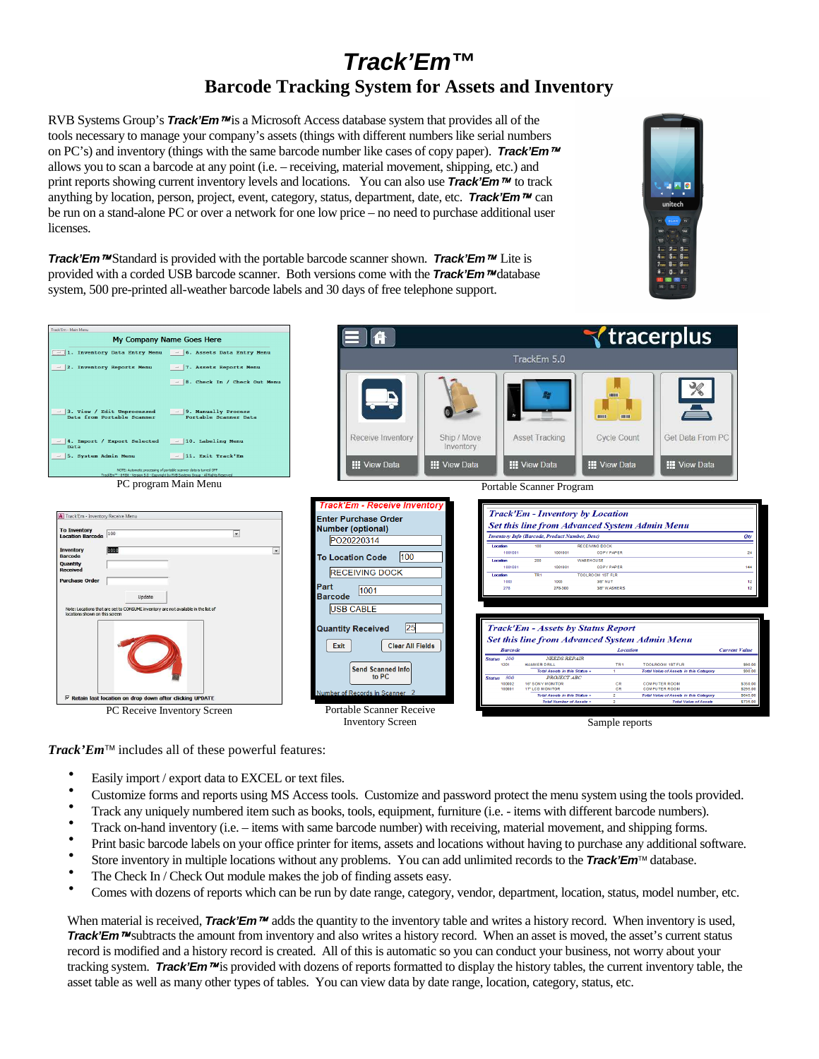# **Track'Em™ Barcode Tracking System for Assets and Inventory**

RVB Systems Group's **Track'Em**<sup>*n*M</sup> is a Microsoft Access database system that provides all of the tools necessary to manage your company's assets (things with different numbers like serial numbers on PC's) and inventory (things with the same barcode number like cases of copy paper). **Track'Em** allows you to scan a barcode at any point (i.e. – receiving, material movement, shipping, etc.) and print reports showing current inventory levels and locations. You can also use **Track'Em** to track anything by location, person, project, event, category, status, department, date, etc. **Track'Em**<sup>*n*</sup> can be run on a stand-alone PC or over a network for one low price – no need to purchase additional user licenses.



**Track'Em** ™Standard is provided with the portable barcode scanner shown. **Track'Em** ™ Lite is provided with a corded USB barcode scanner. Both versions come with the **Track'Em** <sup>*m*</sup> database system, 500 pre-printed all-weather barcode labels and 30 days of free telephone support.



*Track'Em* includes all of these powerful features:

- Easily import / export data to EXCEL or text files.
- Customize forms and reports using MS Access tools. Customize and password protect the menu system using the tools provided.
- Track any uniquely numbered item such as books, tools, equipment, furniture (i.e. items with different barcode numbers).
- Track on-hand inventory (i.e. items with same barcode number) with receiving, material movement, and shipping forms.
- Print basic barcode labels on your office printer for items, assets and locations without having to purchase any additional software.
- Store inventory in multiple locations without any problems. You can add unlimited records to the **Track'Em**<sup>TM</sup> database.
- The Check In / Check Out module makes the job of finding assets easy.
- Comes with dozens of reports which can be run by date range, category, vendor, department, location, status, model number, etc.

When material is received, **Track'Em**<sup>*m*</sup> adds the quantity to the inventory table and writes a history record. When inventory is used, Track'Em<sup>™</sup> subtracts the amount from inventory and also writes a history record. When an asset is moved, the asset's current status record is modified and a history record is created. All of this is automatic so you can conduct your business, not worry about your tracking system. **Track'Em** <sup>n</sup> is provided with dozens of reports formatted to display the history tables, the current inventory table, the asset table as well as many other types of tables. You can view data by date range, location, category, status, etc.